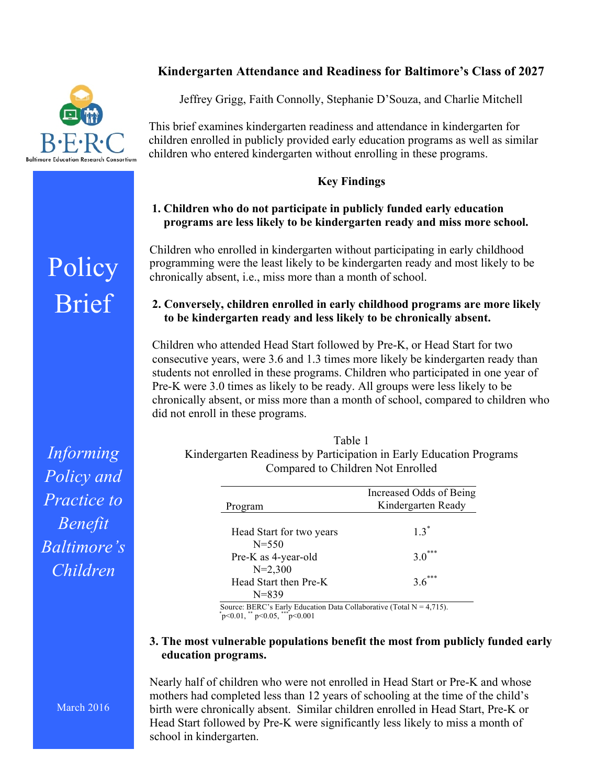# **Kindergarten Attendance and Readiness for Baltimore's Class of 2027**



**Policy** 

Brief

Jeffrey Grigg, Faith Connolly, Stephanie D'Souza, and Charlie Mitchell

This brief examines kindergarten readiness and attendance in kindergarten for children enrolled in publicly provided early education programs as well as similar children who entered kindergarten without enrolling in these programs.

#### **Key Findings**

## **1. Children who do not participate in publicly funded early education programs are less likely to be kindergarten ready and miss more school.**

Children who enrolled in kindergarten without participating in early childhood programming were the least likely to be kindergarten ready and most likely to be chronically absent, i.e., miss more than a month of school.

## **2. Conversely, children enrolled in early childhood programs are more likely to be kindergarten ready and less likely to be chronically absent.**

Children who attended Head Start followed by Pre-K, or Head Start for two consecutive years, were 3.6 and 1.3 times more likely be kindergarten ready than students not enrolled in these programs. Children who participated in one year of Pre-K were 3.0 times as likely to be ready. All groups were less likely to be chronically absent, or miss more than a month of school, compared to children who did not enroll in these programs.

| Table 1                                                             |
|---------------------------------------------------------------------|
| Kindergarten Readiness by Participation in Early Education Programs |
| Compared to Children Not Enrolled                                   |

| Program                               | Increased Odds of Being<br>Kindergarten Ready |
|---------------------------------------|-----------------------------------------------|
| Head Start for two years<br>$N = 550$ | $13^*$                                        |
| Pre-K as 4-year-old<br>$N=2,300$      | $3.0***$                                      |
| Head Start then Pre-K<br>$N = 839$    | $36***$                                       |

Source: BERC's Early Education Data Collaborative (Total  $N = 4,715$ ). p<0.01, \*\* p<0.05, \*\*\* p<0.001

#### **3. The most vulnerable populations benefit the most from publicly funded early education programs.**

Nearly half of children who were not enrolled in Head Start or Pre-K and whose mothers had completed less than 12 years of schooling at the time of the child's birth were chronically absent. Similar children enrolled in Head Start, Pre-K or Head Start followed by Pre-K were significantly less likely to miss a month of school in kindergarten.

*Informing Policy and Practice to Benefit Baltimore's Children*

March 2016